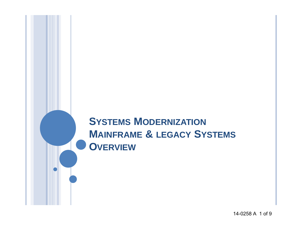# **SYSTEMS MODERNIZATION MAINFRAME & LEGACY SYSTEMS OVERVIEW**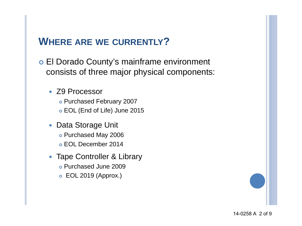### **WHERE ARE WE CURRENTLY?**

- El Dorado County's mainframe environment consists of three major physical components:
	- Z9 Processor Purchased February 2007 EOL (End of Life) June 2015
	- Data Storage Unit o Purchased May 2006
		- EOL December 2014
	- Tape Controller & Library Purchased June 2009
		- EOL 2019 (Approx.)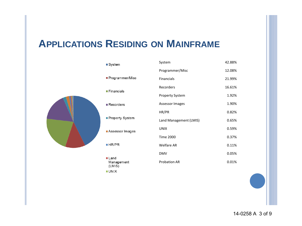## **APPLICATIONS RESIDING ON MAINFRAME**



■ Land Management  $(LMIS)$ **UNIX** 

| System                 | 42.88% |
|------------------------|--------|
| Programmer/Misc        | 12.08% |
| <b>Financials</b>      | 21.99% |
| Recorders              | 16.61% |
| <b>Property System</b> | 1.92%  |
| <b>Assessor Images</b> | 1.90%  |
| HR/PR                  | 0.82%  |
| Land Management (LMIS) | 0.65%  |
| <b>UNIX</b>            | 0.59%  |
| <b>Time 2000</b>       | 0.37%  |
| Welfare AR             | 0.11%  |
| <b>DMV</b>             | 0.05%  |
| <b>Probation AR</b>    | 0.01%  |
|                        |        |

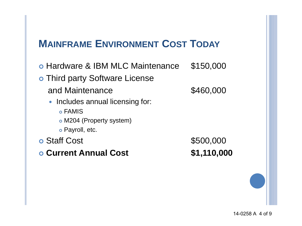# **MAINFRAME ENVIRONMENT COST TODAY**

o Hardware & IBM MLC Maintenance \$150,000 o Third party Software License and Maintenance  $$460,000$ • Includes annual licensing for: FAMIS M204 (Property system) Payroll, etc. **•** Staff Cost **\$500,000 Current Annual Cost \$1,110,000**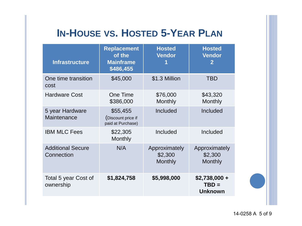# **IN-HOUSE VS. HOSTED 5-YEAR PLAN**

| <b>Infrastructure</b>                  | <b>Replacement</b><br>of the<br><b>Mainframe</b><br>\$486,455 | <b>Hosted</b><br><b>Vendor</b>      | <b>Hosted</b><br><b>Vendor</b><br>$\overline{2}$ |
|----------------------------------------|---------------------------------------------------------------|-------------------------------------|--------------------------------------------------|
| One time transition<br>cost            | \$45,000                                                      | \$1.3 Million                       | <b>TBD</b>                                       |
| <b>Hardware Cost</b>                   | <b>One Time</b><br>\$386,000                                  | \$76,000<br>Monthly                 | \$43,320<br>Monthly                              |
| 5 year Hardware<br>Maintenance         | \$55,455<br>(Discount price if<br>paid at Purchase)           | Included                            | Included                                         |
| <b>IBM MLC Fees</b>                    | \$22,305<br>Monthly                                           | Included                            | Included                                         |
| <b>Additional Secure</b><br>Connection | N/A                                                           | Approximately<br>\$2,300<br>Monthly | Approximately<br>\$2,300<br>Monthly              |
| Total 5 year Cost of<br>ownership      | \$1,824,758                                                   | \$5,998,000                         | $$2,738,000 +$<br>$TBD =$<br><b>Unknown</b>      |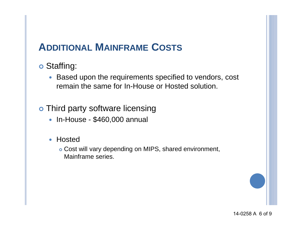# **ADDITIONAL MAINFRAME COSTS**

#### Staffing:

• Based upon the requirements specified to vendors, cost remain the same for In-House or Hosted solution.

#### o Third party software licensing

- In-House \$460,000 annual
- Hosted

 Cost will vary depending on MIPS, shared environment, Mainframe series.

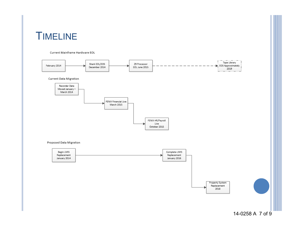# TIMELINE

#### Current Mainframe Hardware EOL

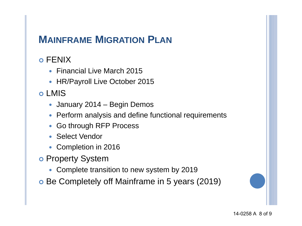# **MAINFRAME MIGRATION PLAN**

#### FENIX

- Financial Live March 2015
- HR/Payroll Live October 2015

#### LMIS

- January 2014 Begin Demos
- Perform analysis and define functional requirements
- Go through RFP Process
- Select Vendor
- Completion in 2016
- o Property System
	- Complete transition to new system by 2019
- Be Completely off Mainframe in 5 years (2019)